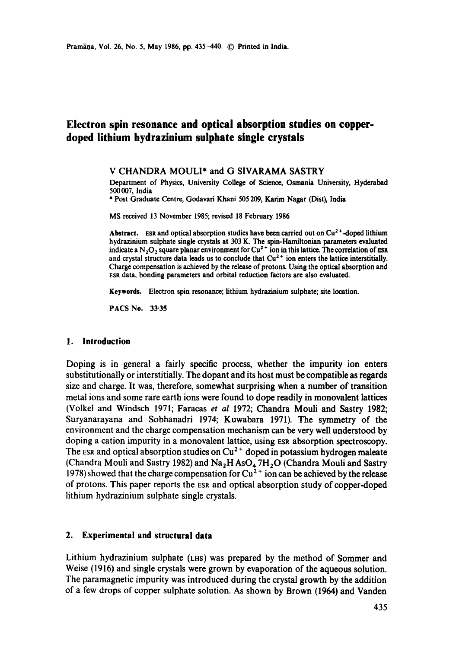# **Electron spin resonance and optical absorption studies on copperdoped lithium hydrazinium sulphate single crystals**

V CHANDRA MOULI\* and G SIVARAMA SASTRY

Department of Physics, University College of Science, Osmania University, Hyderahad 500007, India

\* Post Graduate Centre, Godavari Khani 505 209, Karim Nagar (Dist), India

MS received 13 November 1985; revised 18 February 1986

Abstract. ESR and optical absorption studies have been carried out on  $Cu<sup>2+</sup>$ -doped lithium hydrazinium sulphate single crystals at 303 K. The spin-Hamiltonian parameters evaluated indicate a N<sub>2</sub>O<sub>2</sub> square planar environment for Cu<sup>2+</sup> ion in this lattice. The correlation of ESR and crystal structure data leads us to conclude that  $Cu<sup>2+</sup>$  ion enters the lattice interstitially. Charge compensation is achieved by the release of protons. Using the optical absorption and ESR data, bonding parameters and orbital reduction factors are also evaluated.

**Keywords.** Electron spin resonance; lithium hydrazinium sulphate; site location.

PACS No. 33.35

### **1. Introduction**

Doping is in general a fairly specific process, whether the impurity ion enters substitutionally or interstitially. The dopant and its host must be compatible as regards size and charge. It was, therefore, somewhat surprising when a number of transition metal ions and some rare earth ions were found to dope readily in monovalent lattices (Volkel and Windsch 1971; Faracas *et al* 1972; Chandra Mouli and Sastry 1982; Suryanarayana and Sobhanadri 1974; Kuwabara 1971). The symmetry of the environment and the charge compensation mechanism can be very well understood by doping a cation impurity in a monovalent lattice, using ESR absorption spectroscopy. The ESR and optical absorption studies on  $Cu<sup>2+</sup>$  doped in potassium hydrogen maleate (Chandra Mouli and Sastry 1982) and  $Na<sub>2</sub>H AsO<sub>4</sub> 7H<sub>2</sub>O$  (Chandra Mouli and Sastry 1978) showed that the charge compensation for  $Cu^{2+}$  ion can be achieved by the release of protons. This paper reports the ESR and optical absorption study of copper-doped lithium hydrazinium sulphate single crystals.

## **2. Experimental and structural data**

Lithium hydrazinium sulphate (LHS) was prepared by the method of Sommer and Weise (1916) and single crystals were grown by evaporation of the aqueous solution. The paramagnetic impurity was introduced during the crystal growth by the addition of a few drops of copper sulphate solution. As shown by Brown (1964) and Vanden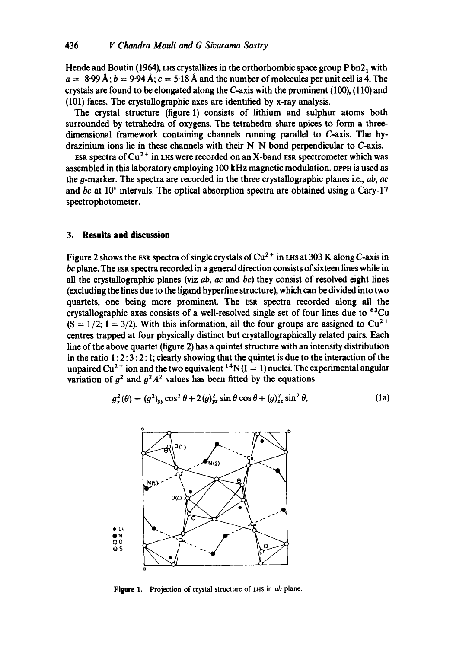Hende and Boutin (1964), LHS crystallizes in the orthorhombic space group  $P$  bn2, with  $a = 8.99 \text{ Å}; b = 9.94 \text{ Å}; c = 5.18 \text{ Å}$  and the number of molecules per unit cell is 4. The crystals are found to be elongated along the C-axis with the prominent  $(100)$ ,  $(110)$  and (101) faces. The crystallographic axes are identified by x-ray analysis.

The crystal structure (figure 1) consists of lithium and sulphur atoms both surrounded by tetrahedra of oxygens. The tetrahedra share apices to form a threedimensional framework containing channels running parallel to C-axis. The hydrazinium ions lie in these channels with their N-N bond perpendicular to C-axis.

ESR spectra of  $Cu^{2+}$  in LHS were recorded on an X-band ESR spectrometer which was assembled in this laboratory employing 100 kHz magnetic modulation. DPPH is used as the g-marker. The spectra are recorded in the three crystallographic planes i.e., *ab, ac*  and *bc* at 10° intervals. The optical absorption spectra are obtained using a Cary-17 spectrophotometer.

## **3. Results and discussion**

Figure 2 shows the ESR spectra of single crystals of  $Cu^{2+}$  in LHS at 303 K along C-axis in *bc* plane. The ESR spectra recorded in a general direction consists of sixteen lines while in all the crystallographic planes (viz *ab, ac* and *bc)* they consist of resolved eight lines (excluding the lines due to the ligand hyperfine structure), which can be divided into two quartets, one being more prominent. The ESR spectra recorded along all the crystallographic axes consists of a well-resolved single set of four lines due to  $^{63}Cu$  $(S = 1/2; I = 3/2)$ . With this information, all the four groups are assigned to  $Cu^{2+}$ centres trapped at four physically distinct but crystallographically related pairs. Each line of the above quartet (figure 2) has a quintet structure with an intensity distribution in the ratio  $1:2:3:2:1$ ; clearly showing that the quintet is due to the interaction of the unpaired Cu<sup>2+</sup> ion and the two equivalent <sup>14</sup>N(I = 1) nuclei. The experimental angular variation of  $q^2$  and  $q^2A^2$  values has been fitted by the equations

$$
g_x^2(\theta) = (g^2)_{yy} \cos^2 \theta + 2(g)_{yz}^2 \sin \theta \cos \theta + (g)_{zz}^2 \sin^2 \theta,
$$
 (1a)



Figure 1. Projection of crystal structure of LHS in *ab* plane.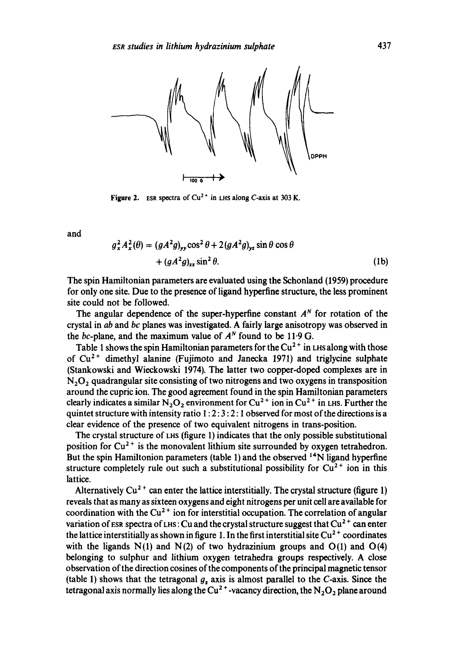

Figure 2. ESR spectra of  $Cu^{2+}$  in LHS along C-axis at 303 K.

and

$$
g_x^2 A_x^2(\theta) = (gA^2 g)_{yy} \cos^2 \theta + 2(gA^2 g)_{yz} \sin \theta \cos \theta
$$
  
+ 
$$
(gA^2 g)_{zz} \sin^2 \theta.
$$
 (1b)

The spin Hamiltonian parameters are evaluated using the Schonland (1959) procedure for only one site. Due to the presence of ligand hyperfine structure, the less prominent site could not be followed.

The angular dependence of the super-hyperfine constant  $A<sup>N</sup>$  for rotation of the crystal in *ab* and *bc* planes was investigated. A fairly large anisotropy was observed in the bc-plane, and the maximum value of  $A^N$  found to be 11.9 G.

Table 1 shows the spin Hamiltonian parameters for the  $Cu<sup>2+</sup>$  in LHS along with those of  $Cu<sup>2+</sup>$  dimethyl alanine (Fujimoto and Janecka 1971) and triglycine sulphate (Stankowski and Wieckowski 1974). The latter two copper-doped complexes are in  $N<sub>2</sub>O<sub>2</sub>$  quadrangular site consisting of two nitrogens and two oxygens in transposition around the cupric ion. The good agreement found in the spin Hamiltonian parameters clearly indicates a similar  $N_2O_2$  environment for Cu<sup>2+</sup> ion in Cu<sup>2+</sup> in LHS. Further the quintet structure with intensity ratio  $1: 2: 3: 2: 1$  observed for most of the directions is a clear evidence of the presence of two equivalent nitrogens in trans-position.

The crystal structure of LHS (figure 1) indicates that the only possible substitutional position for  $Cu^{2+}$  is the monovalent lithium site surrounded by oxygen tetrahedron. But the spin Hamiltonion parameters (table 1) and the observed <sup>14</sup>N ligand hyperfine structure completely rule out such a substitutional possibility for  $Cu^{2+}$  ion in this lattice.

Alternatively  $Cu^{2+}$  can enter the lattice interstitially. The crystal structure (figure 1) reveals that as many as sixteen oxygens and eight nitrogens per unit cell are available for coordination with the  $Cu^{2+}$  ion for interstitial occupation. The correlation of angular variation of ESR spectra of LHS: Cu and the crystal structure suggest that  $Cu^{2+}$  can enter the lattice interstitially as shown in figure 1. In the first interstitial site  $Cu<sup>2+</sup>$  coordinates with the ligands  $N(1)$  and  $N(2)$  of two hydrazinium groups and  $O(1)$  and  $O(4)$ belonging to sulphur and lithium oxygen tetrahedra groups respectively. A close observation of the direction cosines of the components of the principal magnetic tensor (table 1) shows that the tetragonal  $g_z$  axis is almost parallel to the C-axis. Since the tetragonal axis normally lies along the Cu<sup>2+</sup>-vacancy direction, the N<sub>2</sub>O<sub>2</sub> plane around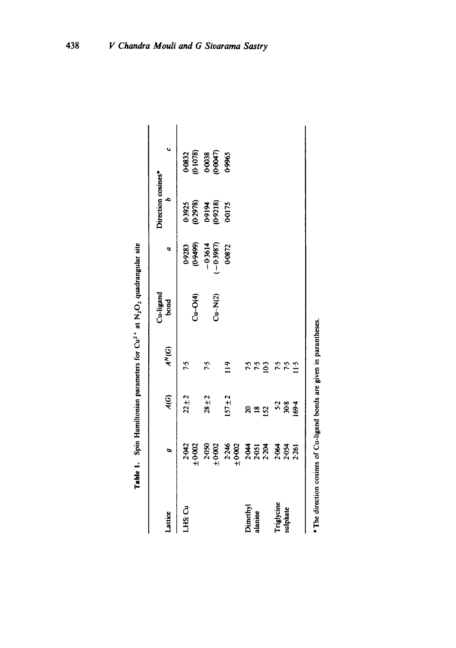| Lattice                | ø                       | $\overline{A(G)}$     | $A^N(G)$          | Cu-ligand<br>bond | a                      | Direction cosines*<br>$\ddot{a}$         | $\ddot{\phantom{0}}$                   |
|------------------------|-------------------------|-----------------------|-------------------|-------------------|------------------------|------------------------------------------|----------------------------------------|
| LHS: Cu                | 2.042<br>±0.002         | $22 + 2$              | 7.5               | $Cu-O(4)$         | 0-9283<br>(0-9499)     |                                          |                                        |
|                        | 20502<br>0602           | $28 + 2$              | 7.5               | $Cu-N(2)$         | $-0.3987$<br>$-0.3614$ | 03925<br>(0-2978)<br>(0-9218)<br>(0-0175 | 0-0832<br>0-1078)<br>0-00038<br>0-0965 |
|                        | 2:246<br>±0:002         | $157 + 2$             | $\frac{1}{2}$     |                   | 0-0872                 |                                          |                                        |
| Dimethyl<br>alanine    | 2.554                   | S.<br>$\frac{18}{2}$  | <b>7.52</b><br>24 |                   |                        |                                          |                                        |
| Triglycine<br>sulphate | 2.054<br>2.054<br>2.261 | $5.2$<br>30.8<br>69.4 | 7.5<br>$\ddot{1}$ |                   |                        |                                          |                                        |

| $\frac{1}{2}$             |
|---------------------------|
|                           |
|                           |
| $\ddot{\phantom{0}}$<br>: |
|                           |
|                           |
| ı                         |
|                           |
|                           |
| ֠                         |
|                           |
|                           |

**Table 1.** Spin Hamiltonian parameters for  $Cu<sup>2+</sup>$  at  $N<sub>2</sub>O<sub>2</sub>$  quadrangular site

Table 1. Spin Hamiltonian parameters for  $Cu^{2+}$  at  $N_2O_2$  quadrangular site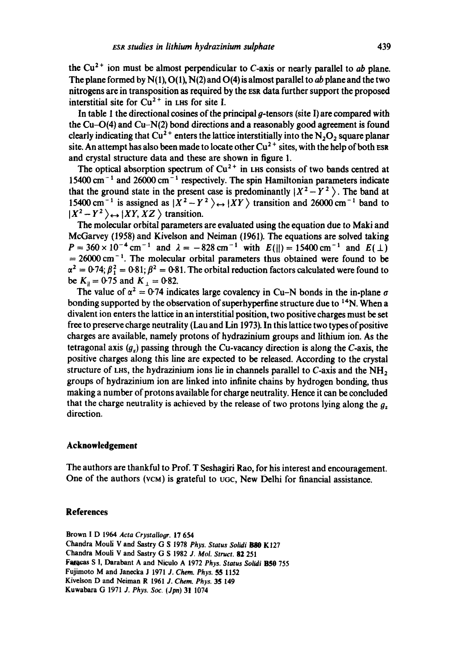the  $Cu<sup>2+</sup>$  ion must be almost perpendicular to C-axis or nearly parallel to *ab* plane. The plane formed by N(1), O(1), N(2) and 0(4) is almost parallel to *ab* plane and the two nitrogens are in transposition as required by the ESR data further support the proposed interstitial site for  $Cu^{2+}$  in LHS for site I.

In table 1 the directional cosines of the principal  $q$ -tensors (site I) are compared with the Cu-O(4) and Cu-N(2) bond directions and a reasonably good agreement is found clearly indicating that  $Cu^{2+}$  enters the lattice interstitially into the N<sub>2</sub>O<sub>2</sub> square planar site. An attempt has also been made to locate other  $Cu^{2+}$  sites, with the help of both ESR and crystal structure data and these are shown in figure 1.

The optical absorption spectrum of  $Cu^{2+}$  in LHs consists of two bands centred at 15400 cm<sup> $-1$ </sup> and 26000 cm<sup> $-1$ </sup> respectively. The spin Hamiltonian parameters indicate that the ground state in the present case is predominantly  $X^2 - Y^2$ . The band at 15400 cm<sup>-1</sup> is assigned as  $|X^2 - Y^2\rangle \leftrightarrow |XY\rangle$  transition and 26000 cm<sup>-1</sup> band to  $|X^2 - Y^2\rangle \leftrightarrow |XY, XZ\rangle$  transition.

The molecular orbital parameters are evaluated using the equation due to Maki and McGarvey (1958) and Kivelson and Neiman (1961). The equations are solved taking  $P=360\times10^{-4}$  cm<sup>-1</sup> and  $\lambda=-828$  cm<sup>-1</sup> with  $E(||)= 15400$  cm<sup>-1</sup> and  $E(\perp)$  $= 26000$  cm<sup>-1</sup>. The molecular orbital parameters thus obtained were found to be  $\alpha^2 = 0.74$ ;  $\beta_1^2 = 0.81$ ;  $\beta^2 = 0.81$ . The orbital reduction factors calculated were found to be  $K_{\rm B} = 0.75$  and  $K_{\rm I} = 0.82$ .

The value of  $\alpha^2 = 0.74$  indicates large covalency in Cu-N bonds in the in-plane  $\sigma$ bonding supported by the observation of superhyperfine structure due to <sup>14</sup>N. When a divalent ion enters the lattice in an interstitial position, two positive charges must be set free to preserve charge neutrality (Lau and Lin 1973). In this lattice two types of positive charges are available, namely protons of hydrazinium groups and lithium ion. As the tetragonal axis  $(g_z)$  passing through the Cu-vacancy direction is along the C-axis, the positive charges along this line are expected to be released. According to the crystal structure of LHS, the hydrazinium ions lie in channels parallel to C-axis and the  $NH<sub>2</sub>$ groups of hydrazinium ion are linked into infinite chains by hydrogen bonding, thus making a number of protons available for charge neutrality. Hence it can be concluded that the charge neutrality is achieved by the release of two protons lying along the  $g_z$ direction.

# **Acknowledgement**

The authors are thankful to Prof. T Seshagiri Rao, for his interest and encouragement. One of the authors (VCM) is grateful to *uGc,* New Delhi for financial assistance.

### **References**

Brown I D 1964 *Acta Crystalloor.* 17 654 Chandra Mouli V and Sastry G S 1978 *Phys. Status Solidi 1580* K127 Chandra Moufi V and Sastry G S 1982 *J. Mol. Struct.* 82 251 Fafor.as S 1, Darabant A and Nicuio A 1972 *Phys. Status Solidi* BS0 755 Fujimoto M and Janecka J 1971 *J. Chem. Phys.* 55 1152 Kivelson D and Neiman R 1961 *J. Chem. Phys.* 35 149 Kuwabara G 1971 *J. Phys. Soc. (Jpn)* 31 1074